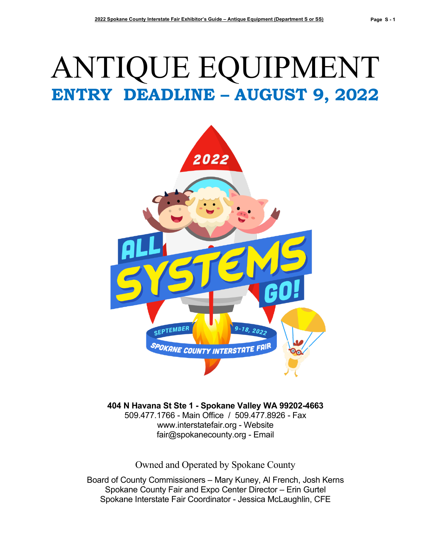# ANTIQUE EQUIPMENT **ENTRY DEADLINE – AUGUST 9, 2022**



**404 N Havana St Ste 1 - Spokane Valley WA 99202-4663** 509.477.1766 - Main Office / 509.477.8926 - Fax [www.interstatefair.org](http://www.interstatefair.org/) - Website [fair@spokanecounty.org](mailto:fair@spokanecounty.org) - Email

Owned and Operated by Spokane County

Board of County Commissioners – Mary Kuney, Al French, Josh Kerns Spokane County Fair and Expo Center Director – Erin Gurtel Spokane Interstate Fair Coordinator - Jessica McLaughlin, CFE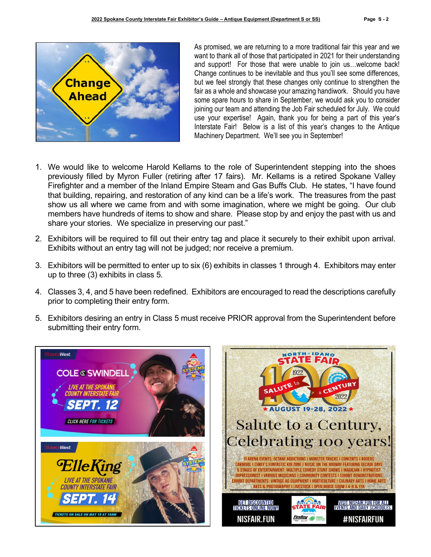

As promised, we are returning to a more traditional fair this year and we want to thank all of those that participated in 2021 for their understanding and support! For those that were unable to join us…welcome back! Change continues to be inevitable and thus you'll see some differences, but we feel strongly that these changes only continue to strengthen the fair as a whole and showcase your amazing handiwork. Should you have some spare hours to share in September, we would ask you to consider joining our team and attending the Job Fair scheduled for July. We could use your expertise! Again, thank you for being a part of this year's Interstate Fair! Below is a list of this year's changes to the Antique Machinery Department. We'll see you in September!

- 1. We would like to welcome Harold Kellams to the role of Superintendent stepping into the shoes previously filled by Myron Fuller (retiring after 17 fairs). Mr. Kellams is a retired Spokane Valley Firefighter and a member of the Inland Empire Steam and Gas Buffs Club. He states, "I have found that building, repairing, and restoration of any kind can be a life's work. The treasures from the past show us all where we came from and with some imagination, where we might be going. Our club members have hundreds of items to show and share. Please stop by and enjoy the past with us and share your stories. We specialize in preserving our past."
- 2. Exhibitors will be required to fill out their entry tag and place it securely to their exhibit upon arrival. Exhibits without an entry tag will not be judged; nor receive a premium.
- 3. Exhibitors will be permitted to enter up to six (6) exhibits in classes 1 through 4. Exhibitors may enter up to three (3) exhibits in class 5.
- 4. Classes 3, 4, and 5 have been redefined. Exhibitors are encouraged to read the descriptions carefully prior to completing their entry form.
- 5. Exhibitors desiring an entry in Class 5 must receive PRIOR approval from the Superintendent before submitting their entry form.



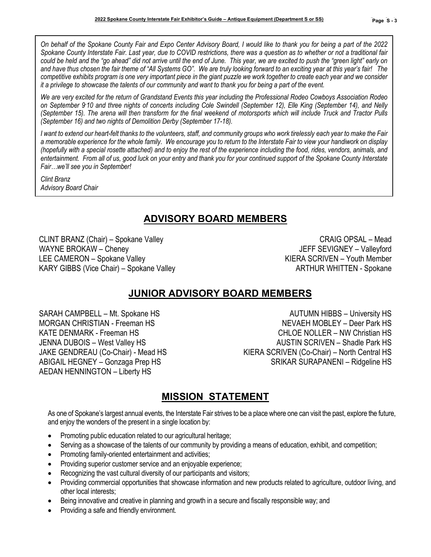*On behalf of the Spokane County Fair and Expo Center Advisory Board, I would like to thank you for being a part of the 2022 Spokane County Interstate Fair. Last year, due to COVID restrictions, there was a question as to whether or not a traditional fair could be held and the "go ahead" did not arrive until the end of June. This year, we are excited to push the "green light" early on and have thus chosen the fair theme of "All Systems GO". We are truly looking forward to an exciting year at this year's fair! The competitive exhibits program is one very important piece in the giant puzzle we work together to create each year and we consider it a privilege to showcase the talents of our community and want to thank you for being a part of the event.* 

*We are very excited for the return of Grandstand Events this year including the Professional Rodeo Cowboys Association Rodeo on September 9- 10 and three nights of concerts including Cole Swindell (September 12), Elle King (September 14), and Nelly (September 15). The arena will then transform for the final weekend of motorsports which will include Truck and Tractor Pulls (September 16) and two nights of Demolition Derby (September 17-18).*

*I want to extend our heart-felt thanks to the volunteers, staff, and community groups who work tirelessly each year to make the Fair a memorable experience for the whole family. We encourage you to return to the Interstate Fair to view your handiwork on display (hopefully with a special rosette attached) and to enjoy the rest of the experience including the food, rides, vendors, animals, and entertainment. From all of us, good luck on your entry and thank you for your continued support of the Spokane County Interstate Fair…we'll see you in September!*

*Clint Branz Advisory Board Chair*

# **ADVISORY BOARD MEMBERS**

CLINT BRANZ (Chair) – Spokane Valley CRAIG OPSAL – Mead WAYNE BROKAW – Cheney and the state of the state of the state of the USFF SEVIGNEY – Valleyford LEE CAMERON – Spokane Valley **KIERA SCRIVEN** – Youth Member KARY GIBBS (Vice Chair) – Spokane Valley ARTHUR WHITTEN - Spokane

# **JUNIOR ADVISORY BOARD MEMBERS**

AEDAN HENNINGTON – Liberty HS

SARAH CAMPBELL – Mt. Spokane HS AUTUMN HIBBS – University HS MORGAN CHRISTIAN - Freeman HS NEVAEH MOBLEY – Deer Park HS KATE DENMARK - Freeman HS CHLOE NOLLER – NW Christian HS JENNA DUBOIS – West Valley HS<br>JAKE GENDREAU (Co-Chair) - Mead HS AUSTIN SCRIVEN (Co-Chair) – North Central HS KIERA SCRIVEN (Co-Chair) – North Central HS ABIGAIL HEGNEY – Gonzaga Prep HS SRIKAR SURAPANENI – Ridgeline HS

# **MISSION STATEMENT**

As one of Spokane's largest annual events, the Interstate Fair strives to be a place where one can visit the past, explore the future, and enjoy the wonders of the present in a single location by:

- Promoting public education related to our agricultural heritage;
- Serving as a showcase of the talents of our community by providing a means of education, exhibit, and competition;
- Promoting family-oriented entertainment and activities;
- Providing superior customer service and an enjoyable experience;
- Recognizing the vast cultural diversity of our participants and visitors;
- Providing commercial opportunities that showcase information and new products related to agriculture, outdoor living, and other local interests;
- Being innovative and creative in planning and growth in a secure and fiscally responsible way; and
- Providing a safe and friendly environment.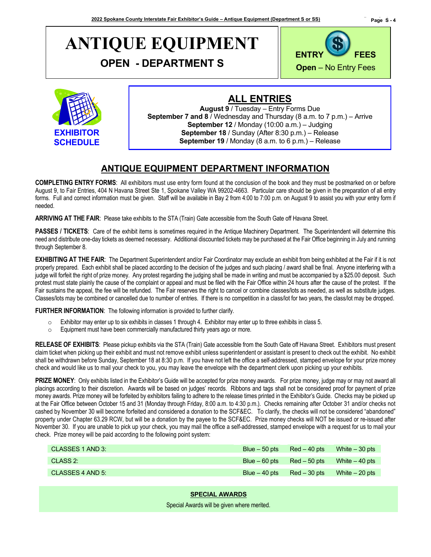# **ANTIQUE EQUIPMENT**

**OPEN - DEPARTMENT S**





### **ALL ENTRIES**

**August 9** / Tuesday – Entry Forms Due **September 7 and 8** / Wednesday and Thursday (8 a.m. to 7 p.m.) – Arrive **September 12** / Monday (10:00 a.m.) – Judging **September 18** / Sunday (After 8:30 p.m.) – Release **September 19** / Monday (8 a.m. to 6 p.m.) – Release

### **ANTIQUE EQUIPMENT DEPARTMENT INFORMATION**

**COMPLETING ENTRY FORMS**: All exhibitors must use entry form found at the conclusion of the book and they must be postmarked on or before August 9, to Fair Entries, 404 N Havana Street Ste 1, Spokane Valley WA 99202-4663. Particular care should be given in the preparation of all entry forms. Full and correct information must be given. Staff will be available in Bay 2 from 4:00 to 7:00 p.m. on August 9 to assist you with your entry form if needed.

**ARRIVING AT THE FAIR**: Please take exhibits to the STA (Train) Gate accessible from the South Gate off Havana Street.

**PASSES / TICKETS**: Care of the exhibit items is sometimes required in the Antique Machinery Department. The Superintendent will determine this need and distribute one-day tickets as deemed necessary. Additional discounted tickets may be purchased at the Fair Office beginning in July and running through September 8.

**EXHIBITING AT THE FAIR:** The Department Superintendent and/or Fair Coordinator may exclude an exhibit from being exhibited at the Fair if it is not properly prepared. Each exhibit shall be placed according to the decision of the judges and such placing / award shall be final. Anyone interfering with a judge will forfeit the right of prize money. Any protest regarding the judging shall be made in writing and must be accompanied by a \$25.00 deposit. Such protest must state plainly the cause of the complaint or appeal and must be filed with the Fair Office within 24 hours after the cause of the protest. If the Fair sustains the appeal, the fee will be refunded. The Fair reserves the right to cancel or combine classes/lots as needed, as well as substitute judges. Classes/lots may be combined or cancelled due to number of entries. If there is no competition in a class/lot for two years, the class/lot may be dropped.

**FURTHER INFORMATION**: The following information is provided to further clarify.

- $\circ$  Exhibitor may enter up to six exhibits in classes 1 through 4. Exhibitor may enter up to three exhibits in class 5.
- o Equipment must have been commercially manufactured thirty years ago or more.

**RELEASE OF EXHIBITS**: Please pickup exhibits via the STA (Train) Gate accessible from the South Gate off Havana Street. Exhibitors must present claim ticket when picking up their exhibit and must not remove exhibit unless superintendent or assistant is present to check out the exhibit. No exhibit shall be withdrawn before Sunday, September 18 at 8:30 p.m. If you have not left the office a self-addressed, stamped envelope for your prize money check and would like us to mail your check to you, you may leave the envelope with the department clerk upon picking up your exhibits.

**PRIZE MONEY**: Only exhibits listed in the Exhibitor's Guide will be accepted for prize money awards. For prize money, judge may or may not award all placings according to their discretion. Awards will be based on judges' records. Ribbons and tags shall not be considered proof for payment of prize money awards. Prize money will be forfeited by exhibitors failing to adhere to the release times printed in the Exhibitor's Guide. Checks may be picked up at the Fair Office between October 15 and 31 (Monday through Friday, 8:00 a.m. to 4:30 p.m.). Checks remaining after October 31 and/or checks not cashed by November 30 will become forfeited and considered a donation to the SCF&EC. To clarify, the checks will not be considered "abandoned" property under Chapter 63.29 RCW, but will be a donation by the payee to the SCF&EC. Prize money checks will NOT be issued or re-issued after November 30. If you are unable to pick up your check, you may mail the office a self-addressed, stamped envelope with a request for us to mail your check. Prize money will be paid according to the following point system:

| CLASSES 1 AND 3: | Blue $-50$ pts $\qquad$ Red $-40$ pts |                                                  | White $-30$ pts |
|------------------|---------------------------------------|--------------------------------------------------|-----------------|
| CLASS 2:         |                                       | $B$ lue $-60$ pts $Red - 50$ pts White $-40$ pts |                 |
| CLASSES 4 AND 5: |                                       | $Blue - 40$ pts $Red - 30$ pts                   | White $-20$ pts |

**SPECIAL AWARDS**

Special Awards will be given where merited.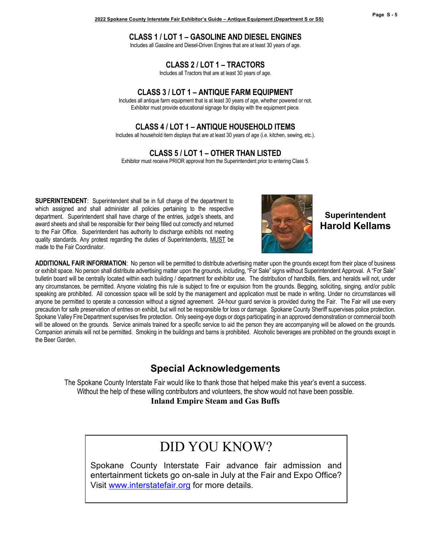#### **CLASS 1 / LOT 1 – GASOLINE AND DIESEL ENGINES**

Includes all Gasoline and Diesel-Driven Engines that are at least 30 years of age.

**CLASS 2 / LOT 1 – TRACTORS**

Includes all Tractors that are at least 30 years of age.

#### **CLASS 3 / LOT 1 – ANTIQUE FARM EQUIPMENT**

Includes all antique farm equipment that is at least 30 years of age, whether powered or not. Exhibitor must provide educational signage for display with the equipment piece.

#### **CLASS 4 / LOT 1 – ANTIQUE HOUSEHOLD ITEMS**

Includes all household item displays that are at least 30 years of age (i.e. kitchen, sewing, etc.).

**CLASS 5 / LOT 1 – OTHER THAN LISTED**

Exhibitor must receive PRIOR approval from the Superintendent prior to entering Class 5.

**SUPERINTENDENT**: Superintendent shall be in full charge of the department to which assigned and shall administer all policies pertaining to the respective department. Superintendent shall have charge of the entries, judge's sheets, and award sheets and shall be responsible for their being filled out correctly and returned to the Fair Office. Superintendent has authority to discharge exhibits not meeting quality standards. Any protest regarding the duties of Superintendents, MUST be made to the Fair Coordinator.



**Superintendent Harold Kellams**

**ADDITIONAL FAIR INFORMATION**: No person will be permitted to distribute advertising matter upon the grounds except from their place of business or exhibit space. No person shall distribute advertising matter upon the grounds, including, "For Sale" signs without Superintendent Approval. A "For Sale" bulletin board will be centrally located within each building / department for exhibitor use. The distribution of handbills, fliers, and heralds will not, under any circumstances, be permitted. Anyone violating this rule is subject to fine or expulsion from the grounds. Begging, soliciting, singing, and/or public speaking are prohibited. All concession space will be sold by the management and application must be made in writing. Under no circumstances will anyone be permitted to operate a concession without a signed agreement. 24-hour guard service is provided during the Fair. The Fair will use every precaution for safe preservation of entries on exhibit, but will not be responsible for loss or damage. Spokane County Sheriff supervises police protection. Spokane Valley Fire Department supervises fire protection. Only seeing-eye dogs or dogs participating in an approved demonstration or commercial booth will be allowed on the grounds. Service animals trained for a specific service to aid the person they are accompanying will be allowed on the grounds. Companion animals will not be permitted. Smoking in the buildings and barns is prohibited. Alcoholic beverages are prohibited on the grounds except in the Beer Garden.

# **Special Acknowledgements**

The Spokane County Interstate Fair would like to thank those that helped make this year's event a success. Without the help of these willing contributors and volunteers, the show would not have been possible.

**Inland Empire Steam and Gas Buffs**

# DID YOU KNOW?

Spokane County Interstate Fair advance fair admission and entertainment tickets go on-sale in July at the Fair and Expo Office? Visit [www.interstatefair.org](file://SpokaneCounty.org/FairExpo/Home/JMcLaughlin/BOOK/www.interstatefair.org) for more details.